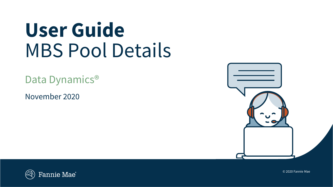# **User Guide** MBS Pool Details

Data Dynamics<sup>®</sup>

November 2020





© 2020 Fannie Mae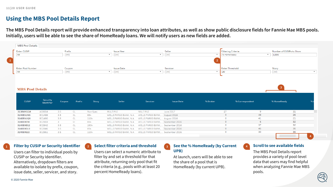### **Using the MBS Pool Details Report**

**The MBS Pool Details report will provide enhanced transparency into loan attributes, as well as show public disclosure fields for Fannie Mae MBS pools. Initially, users will be able to see the share of HomeReady loans. We will notify users as new fields are added.**



**3**

#### **1 Filter by CUSIP or Security Identifier**

Users can filter to individual pools by CUSIP or Security Identifier. Alternatively, dropdown filters are available to isolate by prefix, coupon, issue date, seller, servicer, and story.

#### **Select filter criteria and threshold 2 Select filter criteria and threshold** *is* **See the % HomeReady (by Current**

Users can select a numeric attribute to filter by and set a threshold for that attribute, returning only pool that fit the criteria (e.g., pools with at least 20 percent HomeReady loans).

## **UPB)**

At launch, users will be able to see the share of a pool that is HomeReady (by current UPB).

#### **Scroll to see available fields**

**4**

The MBS Pool Details report provides a variety of pool-level data that users may find helpful when analyzing Fannie Mae MBS pools.